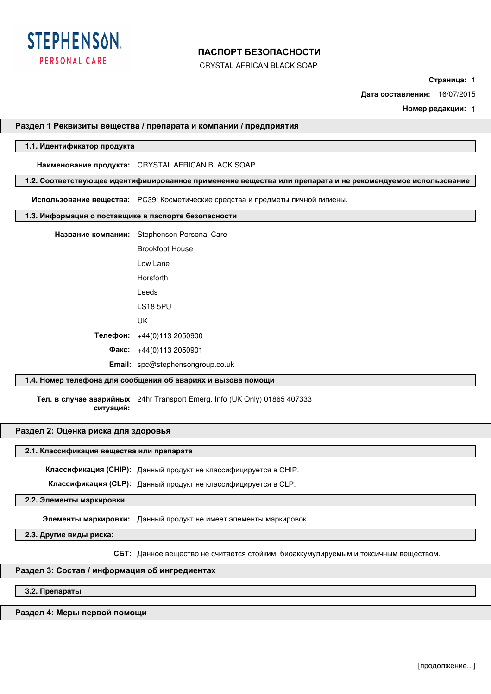

CRYSTAL AFRICAN BLACK SOAP

**Страница:** 1

**Дата составления:** 16/07/2015

**Номер редакции:** 1

### **Раздел 1 Реквизиты вещества / препарата и компании / предприятия**

## **1.1. Идентификатор продукта**

**Наименование продукта:** CRYSTAL AFRICAN BLACK SOAP

**1.2. Соответствующее идентифицированное применение вещества или препарата и не рекомендуемое использование**

**Использование вещества:** PC39: Косметические средства и предметы личной гигиены.

#### **1.3. Информация о поставщике в паспорте безопасности**

**Название компании:** Stephenson Personal Care

Brookfoot House Low Lane Horsforth Leeds LS18 5PU

UK

**Телефон:** +44(0)113 2050900

**Факс:** +44(0)113 2050901

**Email:** spc@stephensongroup.co.uk

## **1.4. Номер телефона для сообщения об авариях и вызова помощи**

**Тел. в случае аварийных**  24hr Transport Emerg. Info (UK Only) 01865 407333 **ситуаций:** 

## **Раздел 2: Оценка риска для здоровья**

#### **2.1. Классификация вещества или препарата**

**Классификация (CHIP):** Данный продукт не классифицируется в CHIP.

**Классификация (CLP):** Данный продукт не классифицируется в CLP.

**2.2. Элементы маркировки**

**Элементы маркировки:** Данный продукт не имеет элементы маркировок

**2.3. Другие виды риска:**

**СБТ:** Данное вещество не считается стойким, биоаккумулируемым и токсичным веществом.

#### **Раздел 3: Состав / информация об ингредиентах**

**3.2. Препараты**

#### **Раздел 4: Меры первой помощи**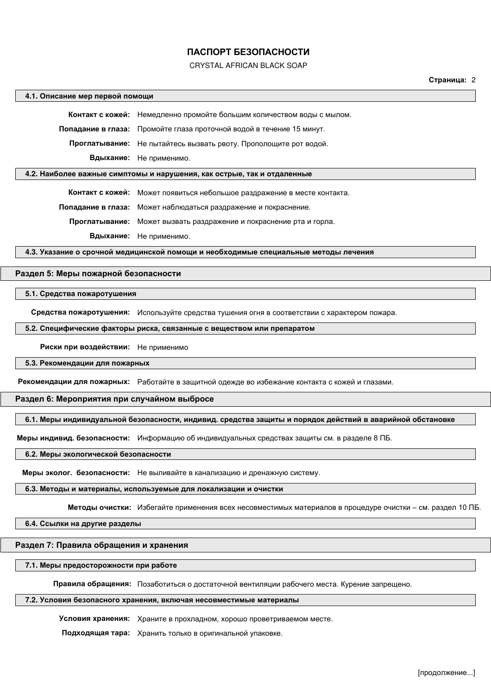### CRYSTAL AFRICAN BLACK SOAP

### **Страница:** 2

#### **4.1. Описание мер первой помощи**

**Контакт с кожей:** Немедленно промойте большим количеством воды с мылом.

**Попадание в глаза:** Промойте глаза проточной водой в течение 15 минут.

**Проглатывание:** Не пытайтесь вызвать рвоту. Прополощите рот водой.

**Вдыхание:** Не применимо.

## **4.2. Наиболее важные симптомы и нарушения, как острые, так и отдаленные**

**Контакт с кожей:** Может появиться небольшое раздражение в месте контакта.

**Попадание в глаза:** Может наблюдаться раздражение и покраснение.

**Проглатывание:** Может вызвать раздражение и покраснение рта и горла.

**Вдыхание:** Не применимо.

**4.3. Указание о срочной медицинской помощи и необходимые специальные методы лечения**

## **Раздел 5: Меры пожарной безопасности**

#### **5.1. Средства пожаротушения**

**Средства пожаротушения:** Используйте средства тушения огня в соответствии с характером пожара.

## **5.2. Специфические факторы риска, связанные с веществом или препаратом**

**Риски при воздействии:** Не применимо

#### **5.3. Рекомендации для пожарных**

**Рекомендации для пожарных:** Работайте в защитной одежде во избежание контакта с кожей и глазами.

#### **Раздел 6: Мероприятия при случайном выбросе**

## **6.1. Меры индивидуальной безопасности, индивид. средства защиты и порядок действий в аварийной обстановке**

**Меры индивид. безопасности:** Информацию об индивидуальных средствах защиты см. в разделе 8 ПБ.

## **6.2. Меры экологической безопасности**

**Меры эколог. безопасности:** Не выливайте в канализацию и дренажную систему.

## **6.3. Методы и материалы, используемые для локализации и очистки**

**Методы очистки:** Избегайте применения всех несовместимых материалов в процедуре очистки – см. раздел 10 ПБ.

## **6.4. Ссылки на другие разделы**

## **Раздел 7: Правила обращения и хранения**

#### **7.1. Меры предосторожности при работе**

**Правила обращения:** Позаботиться о достаточной вентиляции рабочего места. Курение запрещено.

### **7.2. Условия безопасного хранения, включая несовместимые материалы**

**Условия хранения:** Храните в прохладном, хорошо проветриваемом месте.

**Подходящая тара:** Хранить только в оригинальной упаковке.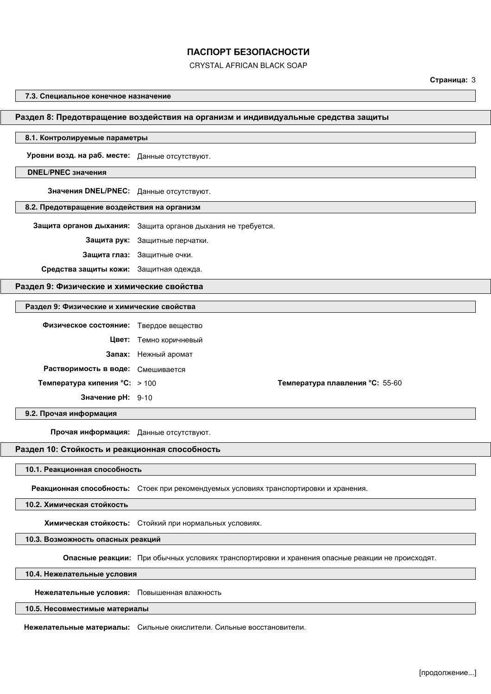CRYSTAL AFRICAN BLACK SOAP

## **Страница:** 3

#### **7.3. Специальное конечное назначение**

#### **Раздел 8: Предотвращение воздействия на организм и индивидуальные средства защиты**

## **8.1. Контролируемые параметры**

**Уровни возд. на раб. месте:** Данные отсутствуют.

## **DNEL/PNEC значения**

**Значения DNEL/PNEC:** Данные отсутствуют.

#### **8.2. Предотвращение воздействия на организм**

**Защита органов дыхания:** Защита органов дыхания не требуется.

**Защита рук:** Защитные перчатки.

**Защита глаз:** Защитные очки.

**Средства защиты кожи:** Защитная одежда.

## **Раздел 9: Физические и химические свойства**

## **Раздел 9: Физические и химические свойства**

| Физическое состояние: Твердое вещество |                        |                                        |
|----------------------------------------|------------------------|----------------------------------------|
|                                        | Цвет: Темно коричневый |                                        |
|                                        | Запах: Нежный аромат   |                                        |
| Растворимость в воде: Смешивается      |                        |                                        |
| <b>Температура кипения °C:</b> > 100   |                        | <b>Температура плавления °С:</b> 55-60 |
| Значение рН: 9-10                      |                        |                                        |

**9.2. Прочая информация**

**Прочая информация:** Данные отсутствуют.

## **Раздел 10: Стойкость и реакционная способность**

**10.1. Реакционная способность**

**Реакционная способность:** Стоек при рекомендуемых условиях транспортировки и хранения.

**10.2. Химическая стойкость**

**Химическая стойкость:** Стойкий при нормальных условиях.

## **10.3. Возможность опасных реакций**

**Опасные реакции:** При обычных условиях транспортировки и хранения опасные реакции не происходят.

**10.4. Нежелательные условия**

**Нежелательные условия:** Повышенная влажность

## **10.5. Несовместимые материалы**

**Нежелательные материалы:** Сильные окислители. Сильные восстановители.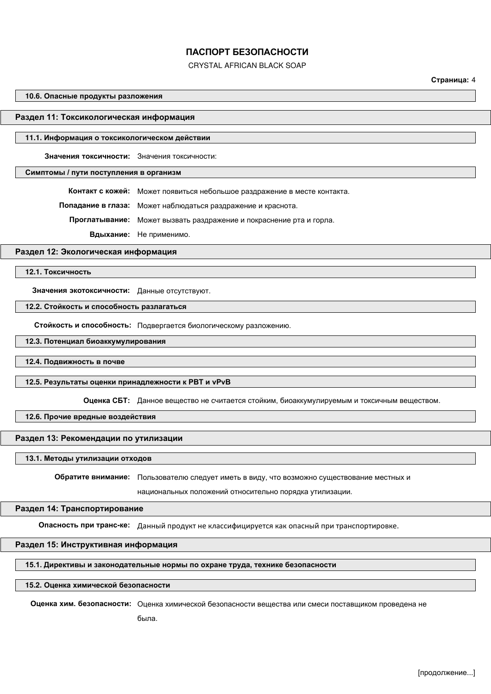CRYSTAL AFRICAN BLACK SOAP

## **Страница:** 4

#### **10.6. Опасные продукты разложения**

#### **Раздел 11: Токсикологическая информация**

#### **11.1. Информация о токсикологическом действии**

**Значения токсичности:** Значения токсичности:

## **Симптомы / пути поступления в организм**

**Контакт с кожей:** Может появиться небольшое раздражение в месте контакта.

**Попадание в глаза:** Может наблюдаться раздражение и краснота.

**Проглатывание:** Может вызвать раздражение и покраснение рта и горла.

**Вдыхание:** Не применимо.

#### **Раздел 12: Экологическая информация**

**12.1. Токсичность**

**Значения экотоксичности:** Данные отсутствуют.

### **12.2. Стойкость и способность разлагаться**

**Стойкость и способность:** Подвергается биологическому разложению.

#### **12.3. Потенциал биоаккумулирования**

**12.4. Подвижность в почве**

#### **12.5. Результаты оценки принадлежности к PBT и vPvB**

**Оценка СБТ:** Данное вещество не считается стойким, биоаккумулируемым и токсичным веществом.

## **12.6. Прочие вредные воздействия**

## **Раздел 13: Рекомендации по утилизации**

#### **13.1. Методы утилизации отходов**

**Обратите внимание:** Пользователю следует иметь в виду, что возможно существование местных и

национальных положений относительно порядка утилизации.

## **Раздел 14: Транспортирование**

**Опасность при транс-ке:** Данный продукт не классифицируется как опасный при транспортировке.

## **Раздел 15: Инструктивная информация**

## **15.1. Директивы и законодательные нормы по охране труда, технике безопасности**

#### **15.2. Оценка химической безопасности**

**Оценка хим. безопасности:** Оценка химической безопасности вещества или смеси поставщиком проведена не

была.